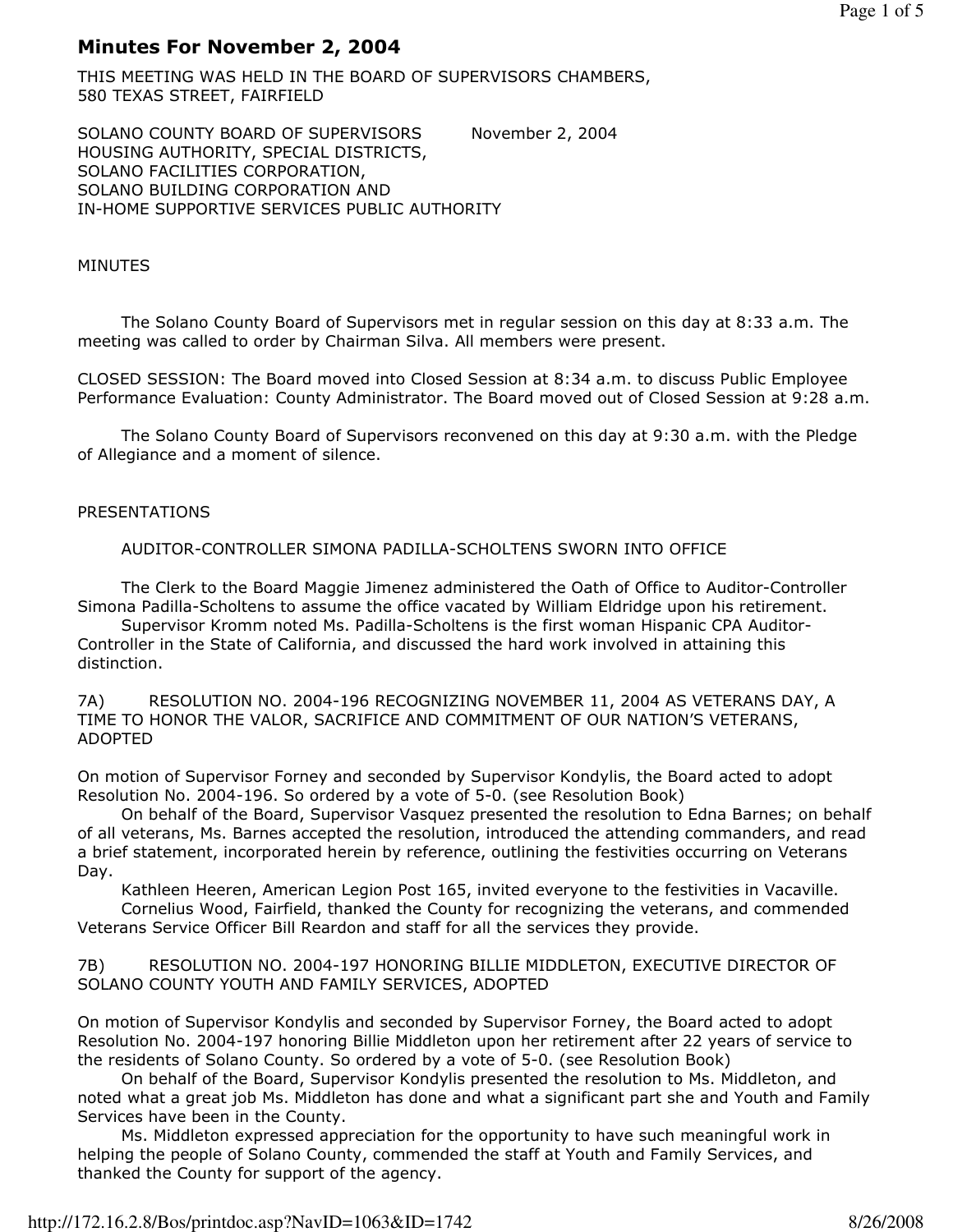# Minutes For November 2, 2004

THIS MEETING WAS HELD IN THE BOARD OF SUPERVISORS CHAMBERS, 580 TEXAS STREET, FAIRFIELD

SOLANO COUNTY BOARD OF SUPERVISORS November 2, 2004 HOUSING AUTHORITY, SPECIAL DISTRICTS, SOLANO FACILITIES CORPORATION, SOLANO BUILDING CORPORATION AND IN-HOME SUPPORTIVE SERVICES PUBLIC AUTHORITY

# MINUTES

 The Solano County Board of Supervisors met in regular session on this day at 8:33 a.m. The meeting was called to order by Chairman Silva. All members were present.

CLOSED SESSION: The Board moved into Closed Session at 8:34 a.m. to discuss Public Employee Performance Evaluation: County Administrator. The Board moved out of Closed Session at 9:28 a.m.

 The Solano County Board of Supervisors reconvened on this day at 9:30 a.m. with the Pledge of Allegiance and a moment of silence.

# PRESENTATIONS

AUDITOR-CONTROLLER SIMONA PADILLA-SCHOLTENS SWORN INTO OFFICE

 The Clerk to the Board Maggie Jimenez administered the Oath of Office to Auditor-Controller Simona Padilla-Scholtens to assume the office vacated by William Eldridge upon his retirement.

 Supervisor Kromm noted Ms. Padilla-Scholtens is the first woman Hispanic CPA Auditor-Controller in the State of California, and discussed the hard work involved in attaining this distinction.

7A) RESOLUTION NO. 2004-196 RECOGNIZING NOVEMBER 11, 2004 AS VETERANS DAY, A TIME TO HONOR THE VALOR, SACRIFICE AND COMMITMENT OF OUR NATION'S VETERANS, ADOPTED

On motion of Supervisor Forney and seconded by Supervisor Kondylis, the Board acted to adopt Resolution No. 2004-196. So ordered by a vote of 5-0. (see Resolution Book)

 On behalf of the Board, Supervisor Vasquez presented the resolution to Edna Barnes; on behalf of all veterans, Ms. Barnes accepted the resolution, introduced the attending commanders, and read a brief statement, incorporated herein by reference, outlining the festivities occurring on Veterans Day.

 Kathleen Heeren, American Legion Post 165, invited everyone to the festivities in Vacaville. Cornelius Wood, Fairfield, thanked the County for recognizing the veterans, and commended Veterans Service Officer Bill Reardon and staff for all the services they provide.

#### 7B) RESOLUTION NO. 2004-197 HONORING BILLIE MIDDLETON, EXECUTIVE DIRECTOR OF SOLANO COUNTY YOUTH AND FAMILY SERVICES, ADOPTED

On motion of Supervisor Kondylis and seconded by Supervisor Forney, the Board acted to adopt Resolution No. 2004-197 honoring Billie Middleton upon her retirement after 22 years of service to the residents of Solano County. So ordered by a vote of 5-0. (see Resolution Book)

 On behalf of the Board, Supervisor Kondylis presented the resolution to Ms. Middleton, and noted what a great job Ms. Middleton has done and what a significant part she and Youth and Family Services have been in the County.

 Ms. Middleton expressed appreciation for the opportunity to have such meaningful work in helping the people of Solano County, commended the staff at Youth and Family Services, and thanked the County for support of the agency.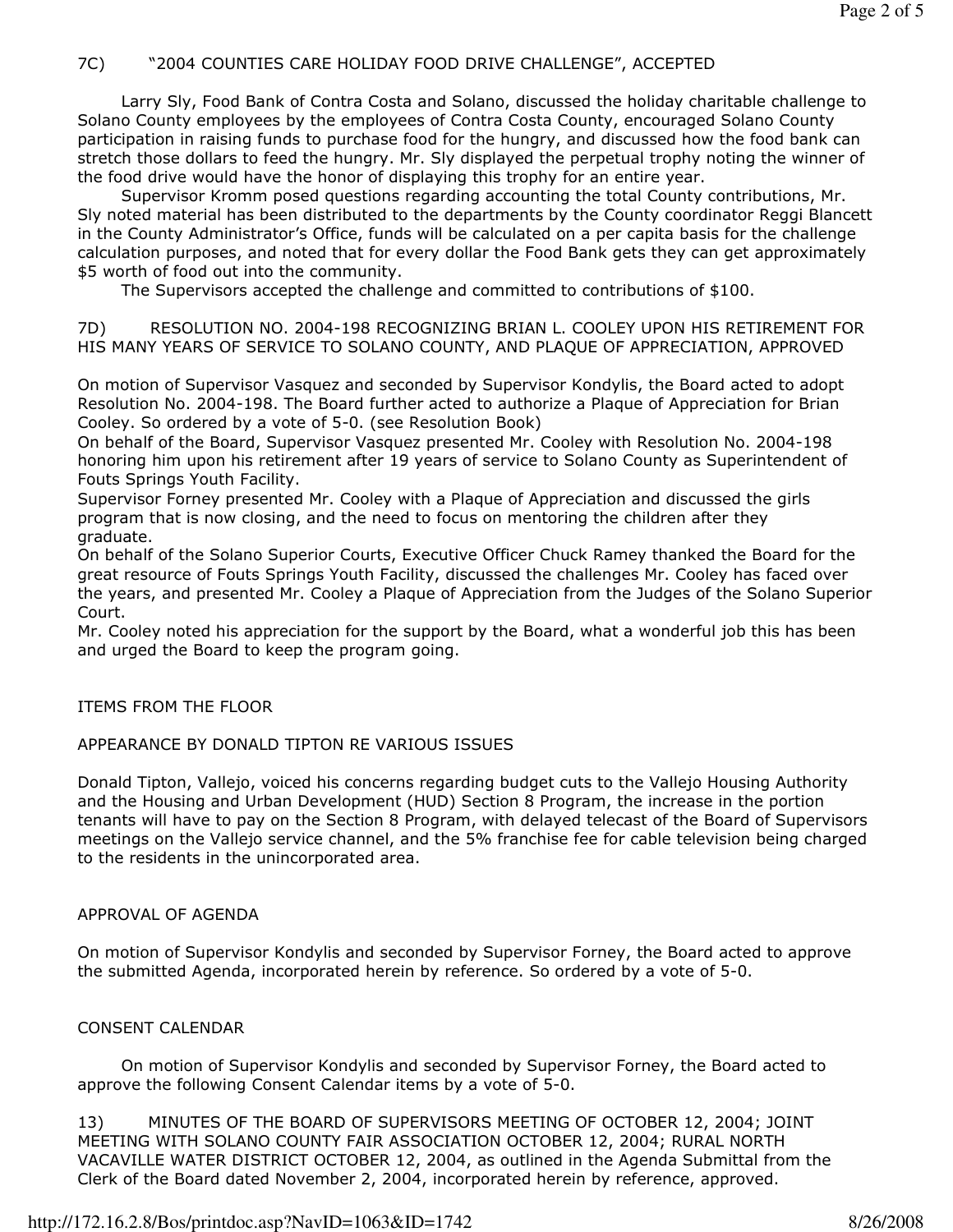# 7C) "2004 COUNTIES CARE HOLIDAY FOOD DRIVE CHALLENGE", ACCEPTED

 Larry Sly, Food Bank of Contra Costa and Solano, discussed the holiday charitable challenge to Solano County employees by the employees of Contra Costa County, encouraged Solano County participation in raising funds to purchase food for the hungry, and discussed how the food bank can stretch those dollars to feed the hungry. Mr. Sly displayed the perpetual trophy noting the winner of the food drive would have the honor of displaying this trophy for an entire year.

 Supervisor Kromm posed questions regarding accounting the total County contributions, Mr. Sly noted material has been distributed to the departments by the County coordinator Reggi Blancett in the County Administrator's Office, funds will be calculated on a per capita basis for the challenge calculation purposes, and noted that for every dollar the Food Bank gets they can get approximately \$5 worth of food out into the community.

The Supervisors accepted the challenge and committed to contributions of \$100.

7D) RESOLUTION NO. 2004-198 RECOGNIZING BRIAN L. COOLEY UPON HIS RETIREMENT FOR HIS MANY YEARS OF SERVICE TO SOLANO COUNTY, AND PLAQUE OF APPRECIATION, APPROVED

On motion of Supervisor Vasquez and seconded by Supervisor Kondylis, the Board acted to adopt Resolution No. 2004-198. The Board further acted to authorize a Plaque of Appreciation for Brian Cooley. So ordered by a vote of 5-0. (see Resolution Book)

On behalf of the Board, Supervisor Vasquez presented Mr. Cooley with Resolution No. 2004-198 honoring him upon his retirement after 19 years of service to Solano County as Superintendent of Fouts Springs Youth Facility.

Supervisor Forney presented Mr. Cooley with a Plaque of Appreciation and discussed the girls program that is now closing, and the need to focus on mentoring the children after they graduate.

On behalf of the Solano Superior Courts, Executive Officer Chuck Ramey thanked the Board for the great resource of Fouts Springs Youth Facility, discussed the challenges Mr. Cooley has faced over the years, and presented Mr. Cooley a Plaque of Appreciation from the Judges of the Solano Superior Court.

Mr. Cooley noted his appreciation for the support by the Board, what a wonderful job this has been and urged the Board to keep the program going.

## ITEMS FROM THE FLOOR

## APPEARANCE BY DONALD TIPTON RE VARIOUS ISSUES

Donald Tipton, Vallejo, voiced his concerns regarding budget cuts to the Vallejo Housing Authority and the Housing and Urban Development (HUD) Section 8 Program, the increase in the portion tenants will have to pay on the Section 8 Program, with delayed telecast of the Board of Supervisors meetings on the Vallejo service channel, and the 5% franchise fee for cable television being charged to the residents in the unincorporated area.

## APPROVAL OF AGENDA

On motion of Supervisor Kondylis and seconded by Supervisor Forney, the Board acted to approve the submitted Agenda, incorporated herein by reference. So ordered by a vote of 5-0.

## CONSENT CALENDAR

 On motion of Supervisor Kondylis and seconded by Supervisor Forney, the Board acted to approve the following Consent Calendar items by a vote of 5-0.

13) MINUTES OF THE BOARD OF SUPERVISORS MEETING OF OCTOBER 12, 2004; JOINT MEETING WITH SOLANO COUNTY FAIR ASSOCIATION OCTOBER 12, 2004; RURAL NORTH VACAVILLE WATER DISTRICT OCTOBER 12, 2004, as outlined in the Agenda Submittal from the Clerk of the Board dated November 2, 2004, incorporated herein by reference, approved.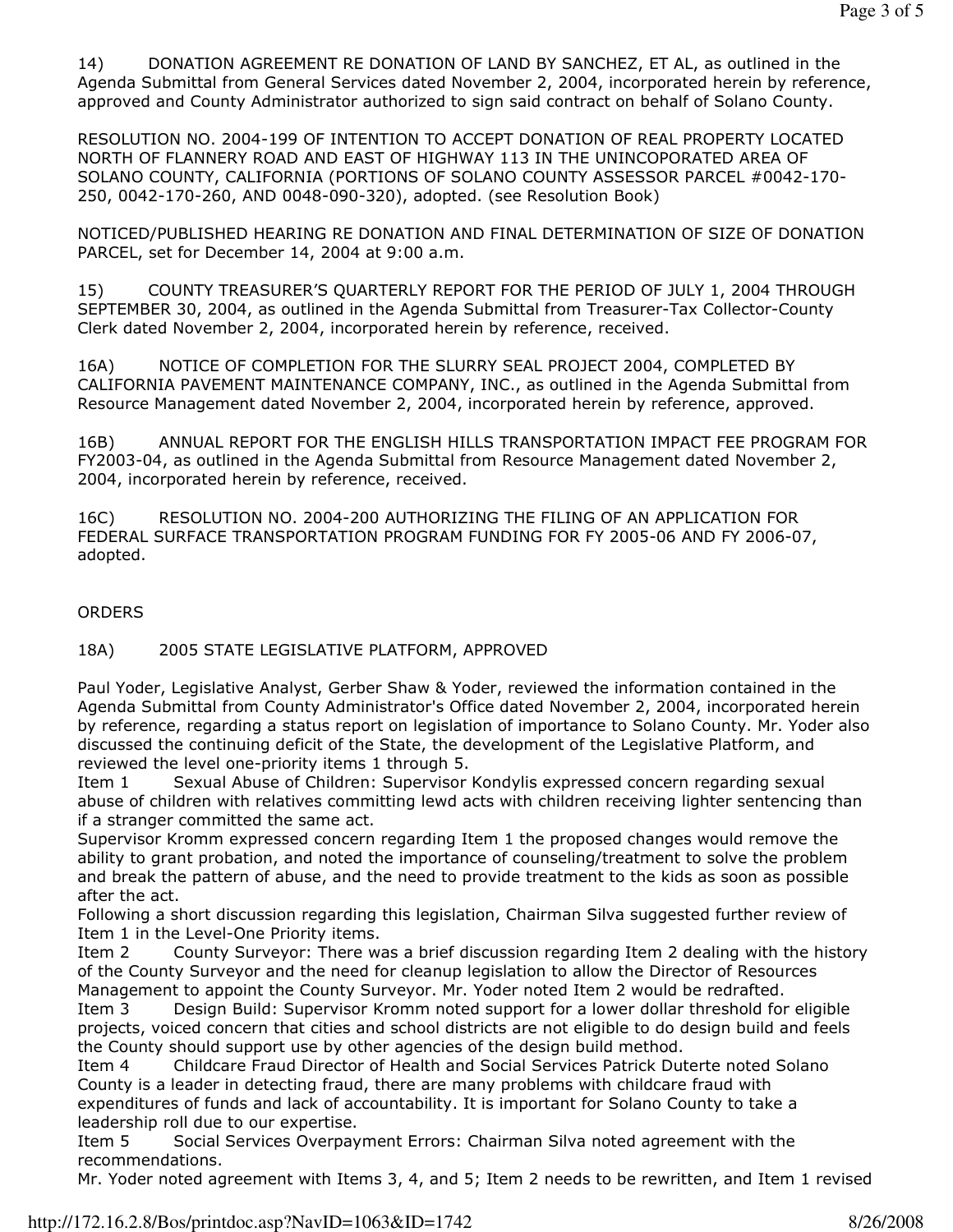14) DONATION AGREEMENT RE DONATION OF LAND BY SANCHEZ, ET AL, as outlined in the Agenda Submittal from General Services dated November 2, 2004, incorporated herein by reference, approved and County Administrator authorized to sign said contract on behalf of Solano County.

RESOLUTION NO. 2004-199 OF INTENTION TO ACCEPT DONATION OF REAL PROPERTY LOCATED NORTH OF FLANNERY ROAD AND EAST OF HIGHWAY 113 IN THE UNINCOPORATED AREA OF SOLANO COUNTY, CALIFORNIA (PORTIONS OF SOLANO COUNTY ASSESSOR PARCEL #0042-170- 250, 0042-170-260, AND 0048-090-320), adopted. (see Resolution Book)

NOTICED/PUBLISHED HEARING RE DONATION AND FINAL DETERMINATION OF SIZE OF DONATION PARCEL, set for December 14, 2004 at 9:00 a.m.

15) COUNTY TREASURER'S QUARTERLY REPORT FOR THE PERIOD OF JULY 1, 2004 THROUGH SEPTEMBER 30, 2004, as outlined in the Agenda Submittal from Treasurer-Tax Collector-County Clerk dated November 2, 2004, incorporated herein by reference, received.

16A) NOTICE OF COMPLETION FOR THE SLURRY SEAL PROJECT 2004, COMPLETED BY CALIFORNIA PAVEMENT MAINTENANCE COMPANY, INC., as outlined in the Agenda Submittal from Resource Management dated November 2, 2004, incorporated herein by reference, approved.

16B) ANNUAL REPORT FOR THE ENGLISH HILLS TRANSPORTATION IMPACT FEE PROGRAM FOR FY2003-04, as outlined in the Agenda Submittal from Resource Management dated November 2, 2004, incorporated herein by reference, received.

16C) RESOLUTION NO. 2004-200 AUTHORIZING THE FILING OF AN APPLICATION FOR FEDERAL SURFACE TRANSPORTATION PROGRAM FUNDING FOR FY 2005-06 AND FY 2006-07, adopted.

#### **ORDERS**

18A) 2005 STATE LEGISLATIVE PLATFORM, APPROVED

Paul Yoder, Legislative Analyst, Gerber Shaw & Yoder, reviewed the information contained in the Agenda Submittal from County Administrator's Office dated November 2, 2004, incorporated herein by reference, regarding a status report on legislation of importance to Solano County. Mr. Yoder also discussed the continuing deficit of the State, the development of the Legislative Platform, and reviewed the level one-priority items 1 through 5.

Item 1 Sexual Abuse of Children: Supervisor Kondylis expressed concern regarding sexual abuse of children with relatives committing lewd acts with children receiving lighter sentencing than if a stranger committed the same act.

Supervisor Kromm expressed concern regarding Item 1 the proposed changes would remove the ability to grant probation, and noted the importance of counseling/treatment to solve the problem and break the pattern of abuse, and the need to provide treatment to the kids as soon as possible after the act.

Following a short discussion regarding this legislation, Chairman Silva suggested further review of Item 1 in the Level-One Priority items.

Item 2 County Surveyor: There was a brief discussion regarding Item 2 dealing with the history of the County Surveyor and the need for cleanup legislation to allow the Director of Resources Management to appoint the County Surveyor. Mr. Yoder noted Item 2 would be redrafted.

Item 3 Design Build: Supervisor Kromm noted support for a lower dollar threshold for eligible projects, voiced concern that cities and school districts are not eligible to do design build and feels the County should support use by other agencies of the design build method.

Item 4 Childcare Fraud Director of Health and Social Services Patrick Duterte noted Solano County is a leader in detecting fraud, there are many problems with childcare fraud with expenditures of funds and lack of accountability. It is important for Solano County to take a leadership roll due to our expertise.

Item 5 Social Services Overpayment Errors: Chairman Silva noted agreement with the recommendations.

Mr. Yoder noted agreement with Items 3, 4, and 5; Item 2 needs to be rewritten, and Item 1 revised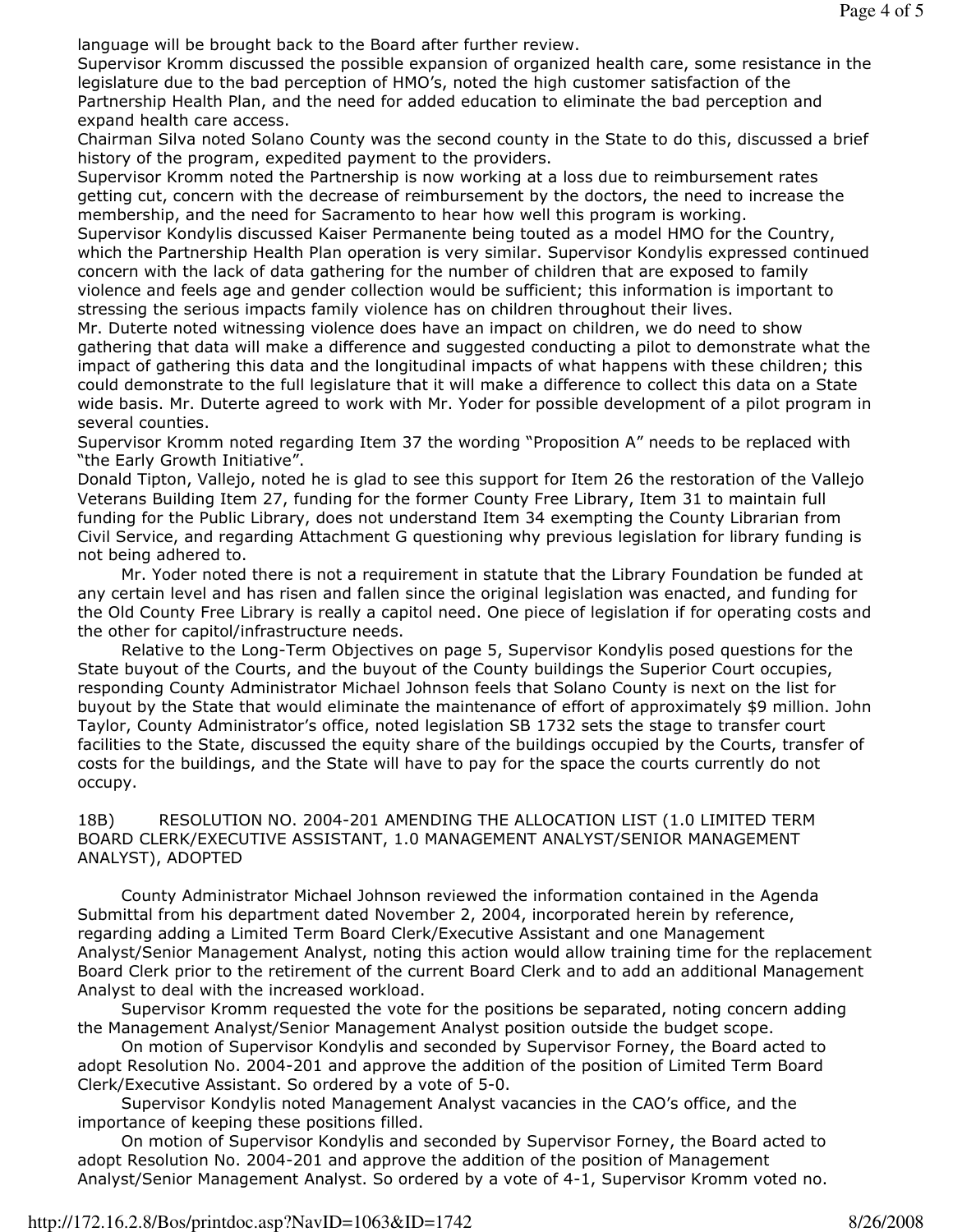language will be brought back to the Board after further review.

Supervisor Kromm discussed the possible expansion of organized health care, some resistance in the legislature due to the bad perception of HMO's, noted the high customer satisfaction of the Partnership Health Plan, and the need for added education to eliminate the bad perception and expand health care access.

Chairman Silva noted Solano County was the second county in the State to do this, discussed a brief history of the program, expedited payment to the providers.

Supervisor Kromm noted the Partnership is now working at a loss due to reimbursement rates getting cut, concern with the decrease of reimbursement by the doctors, the need to increase the membership, and the need for Sacramento to hear how well this program is working.

Supervisor Kondylis discussed Kaiser Permanente being touted as a model HMO for the Country, which the Partnership Health Plan operation is very similar. Supervisor Kondylis expressed continued concern with the lack of data gathering for the number of children that are exposed to family violence and feels age and gender collection would be sufficient; this information is important to stressing the serious impacts family violence has on children throughout their lives.

Mr. Duterte noted witnessing violence does have an impact on children, we do need to show gathering that data will make a difference and suggested conducting a pilot to demonstrate what the impact of gathering this data and the longitudinal impacts of what happens with these children; this could demonstrate to the full legislature that it will make a difference to collect this data on a State wide basis. Mr. Duterte agreed to work with Mr. Yoder for possible development of a pilot program in several counties.

Supervisor Kromm noted regarding Item 37 the wording "Proposition A" needs to be replaced with "the Early Growth Initiative".

Donald Tipton, Vallejo, noted he is glad to see this support for Item 26 the restoration of the Vallejo Veterans Building Item 27, funding for the former County Free Library, Item 31 to maintain full funding for the Public Library, does not understand Item 34 exempting the County Librarian from Civil Service, and regarding Attachment G questioning why previous legislation for library funding is not being adhered to.

 Mr. Yoder noted there is not a requirement in statute that the Library Foundation be funded at any certain level and has risen and fallen since the original legislation was enacted, and funding for the Old County Free Library is really a capitol need. One piece of legislation if for operating costs and the other for capitol/infrastructure needs.

 Relative to the Long-Term Objectives on page 5, Supervisor Kondylis posed questions for the State buyout of the Courts, and the buyout of the County buildings the Superior Court occupies, responding County Administrator Michael Johnson feels that Solano County is next on the list for buyout by the State that would eliminate the maintenance of effort of approximately \$9 million. John Taylor, County Administrator's office, noted legislation SB 1732 sets the stage to transfer court facilities to the State, discussed the equity share of the buildings occupied by the Courts, transfer of costs for the buildings, and the State will have to pay for the space the courts currently do not occupy.

#### 18B) RESOLUTION NO. 2004-201 AMENDING THE ALLOCATION LIST (1.0 LIMITED TERM BOARD CLERK/EXECUTIVE ASSISTANT, 1.0 MANAGEMENT ANALYST/SENIOR MANAGEMENT ANALYST), ADOPTED

 County Administrator Michael Johnson reviewed the information contained in the Agenda Submittal from his department dated November 2, 2004, incorporated herein by reference, regarding adding a Limited Term Board Clerk/Executive Assistant and one Management Analyst/Senior Management Analyst, noting this action would allow training time for the replacement Board Clerk prior to the retirement of the current Board Clerk and to add an additional Management Analyst to deal with the increased workload.

 Supervisor Kromm requested the vote for the positions be separated, noting concern adding the Management Analyst/Senior Management Analyst position outside the budget scope.

 On motion of Supervisor Kondylis and seconded by Supervisor Forney, the Board acted to adopt Resolution No. 2004-201 and approve the addition of the position of Limited Term Board Clerk/Executive Assistant. So ordered by a vote of 5-0.

 Supervisor Kondylis noted Management Analyst vacancies in the CAO's office, and the importance of keeping these positions filled.

 On motion of Supervisor Kondylis and seconded by Supervisor Forney, the Board acted to adopt Resolution No. 2004-201 and approve the addition of the position of Management Analyst/Senior Management Analyst. So ordered by a vote of 4-1, Supervisor Kromm voted no.